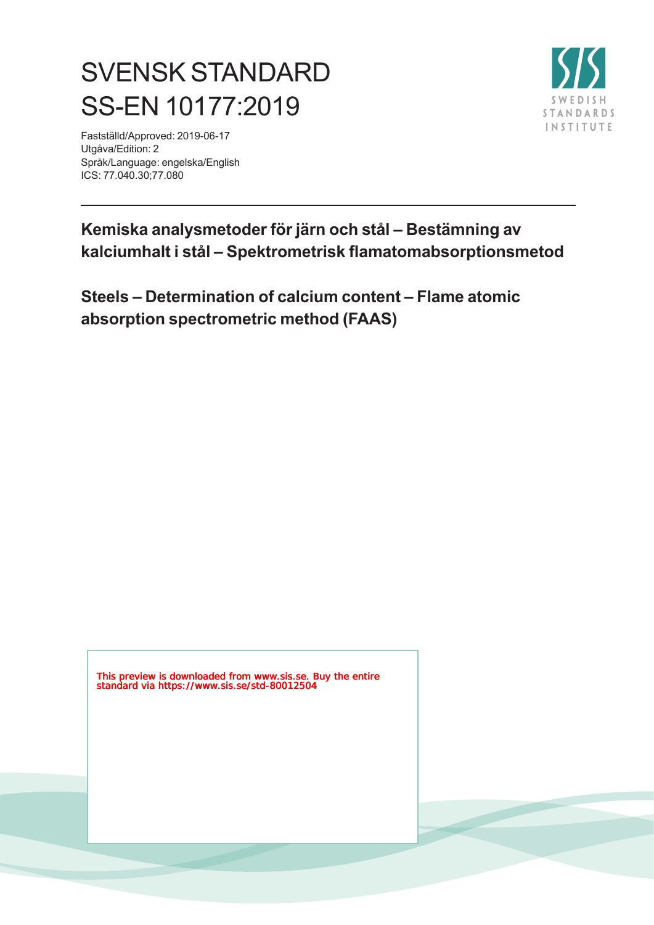# SVENSK STANDARD SS-EN 10177:2019



Fastställd/Approved: 2019-06-17 Utgåva/Edition: 2 Språk/Language: engelska/English ICS: 77.040.30;77.080

## **Kemiska analysmetoder för järn och stål – Bestämning av kalciumhalt i stål – Spektrometrisk flamatomabsorptionsmetod**

**Steels – Determination of calcium content – Flame atomic absorption spectrometric method (FAAS)**

This preview is downloaded from www.sis.se. Buy the entire standard via https://www.sis.se/std-80012504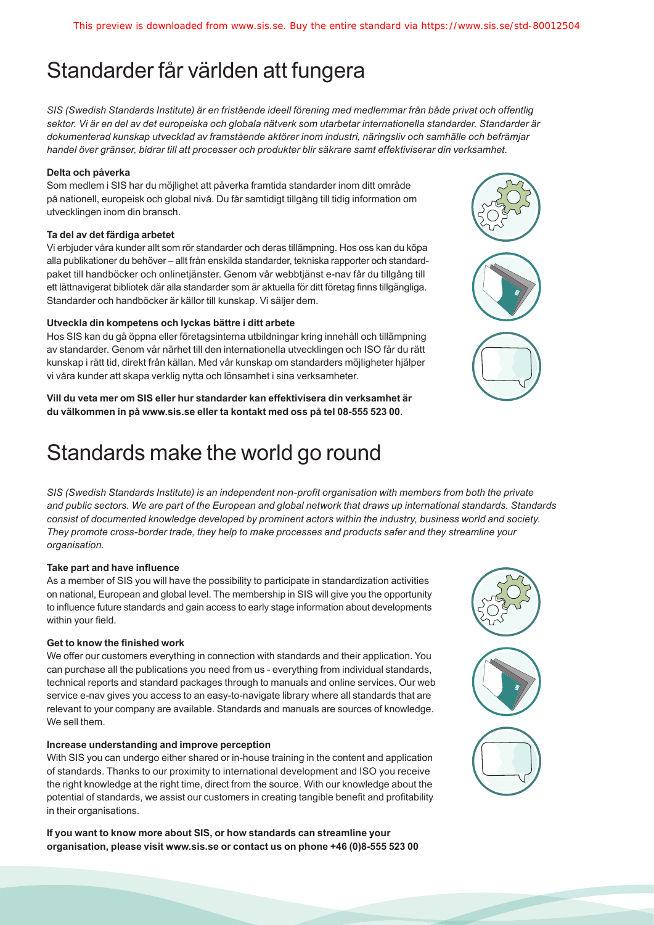## Standarder får världen att fungera

*SIS (Swedish Standards Institute) är en fristående ideell förening med medlemmar från både privat och offentlig sektor. Vi är en del av det europeiska och globala nätverk som utarbetar internationella standarder. Standarder är dokumenterad kunskap utvecklad av framstående aktörer inom industri, näringsliv och samhälle och befrämjar handel över gränser, bidrar till att processer och produkter blir säkrare samt effektiviserar din verksamhet.* 

#### **Delta och påverka**

Som medlem i SIS har du möjlighet att påverka framtida standarder inom ditt område på nationell, europeisk och global nivå. Du får samtidigt tillgång till tidig information om utvecklingen inom din bransch.

#### **Ta del av det färdiga arbetet**

Vi erbjuder våra kunder allt som rör standarder och deras tillämpning. Hos oss kan du köpa alla publikationer du behöver – allt från enskilda standarder, tekniska rapporter och standardpaket till handböcker och onlinetjänster. Genom vår webbtjänst e-nav får du tillgång till ett lättnavigerat bibliotek där alla standarder som är aktuella för ditt företag finns tillgängliga. Standarder och handböcker är källor till kunskap. Vi säljer dem.

#### **Utveckla din kompetens och lyckas bättre i ditt arbete**

Hos SIS kan du gå öppna eller företagsinterna utbildningar kring innehåll och tillämpning av standarder. Genom vår närhet till den internationella utvecklingen och ISO får du rätt kunskap i rätt tid, direkt från källan. Med vår kunskap om standarders möjligheter hjälper vi våra kunder att skapa verklig nytta och lönsamhet i sina verksamheter.

**Vill du veta mer om SIS eller hur standarder kan effektivisera din verksamhet är du välkommen in på www.sis.se eller ta kontakt med oss på tel 08-555 523 00.**

## Standards make the world go round

*SIS (Swedish Standards Institute) is an independent non-profit organisation with members from both the private and public sectors. We are part of the European and global network that draws up international standards. Standards consist of documented knowledge developed by prominent actors within the industry, business world and society. They promote cross-border trade, they help to make processes and products safer and they streamline your organisation.*

#### **Take part and have influence**

As a member of SIS you will have the possibility to participate in standardization activities on national, European and global level. The membership in SIS will give you the opportunity to influence future standards and gain access to early stage information about developments within your field.

#### **Get to know the finished work**

We offer our customers everything in connection with standards and their application. You can purchase all the publications you need from us - everything from individual standards, technical reports and standard packages through to manuals and online services. Our web service e-nav gives you access to an easy-to-navigate library where all standards that are relevant to your company are available. Standards and manuals are sources of knowledge. We sell them.

#### **Increase understanding and improve perception**

With SIS you can undergo either shared or in-house training in the content and application of standards. Thanks to our proximity to international development and ISO you receive the right knowledge at the right time, direct from the source. With our knowledge about the potential of standards, we assist our customers in creating tangible benefit and profitability in their organisations.

**If you want to know more about SIS, or how standards can streamline your organisation, please visit www.sis.se or contact us on phone +46 (0)8-555 523 00**



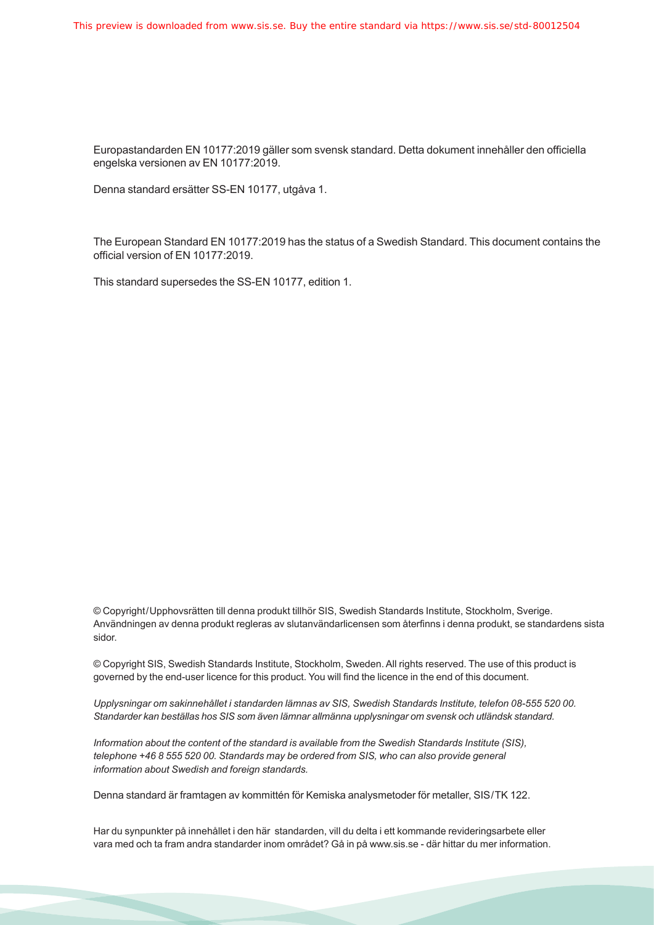Europastandarden EN 10177:2019 gäller som svensk standard. Detta dokument innehåller den officiella engelska versionen av EN 10177:2019.

Denna standard ersätter SS-EN 10177, utgåva 1.

The European Standard EN 10177:2019 has the status of a Swedish Standard. This document contains the official version of EN 10177:2019.

This standard supersedes the SS-EN 10177, edition 1.

© Copyright / Upphovsrätten till denna produkt tillhör SIS, Swedish Standards Institute, Stockholm, Sverige. Användningen av denna produkt regleras av slutanvändarlicensen som återfinns i denna produkt, se standardens sista sidor.

© Copyright SIS, Swedish Standards Institute, Stockholm, Sweden. All rights reserved. The use of this product is governed by the end-user licence for this product. You will find the licence in the end of this document.

*Upplysningar om sakinnehållet i standarden lämnas av SIS, Swedish Standards Institute, telefon 08-555 520 00. Standarder kan beställas hos SIS som även lämnar allmänna upplysningar om svensk och utländsk standard.*

*Information about the content of the standard is available from the Swedish Standards Institute (SIS), telephone +46 8 555 520 00. Standards may be ordered from SIS, who can also provide general information about Swedish and foreign standards.*

Denna standard är framtagen av kommittén för Kemiska analysmetoder för metaller, SIS / TK 122.

Har du synpunkter på innehållet i den här standarden, vill du delta i ett kommande revideringsarbete eller vara med och ta fram andra standarder inom området? Gå in på www.sis.se - där hittar du mer information.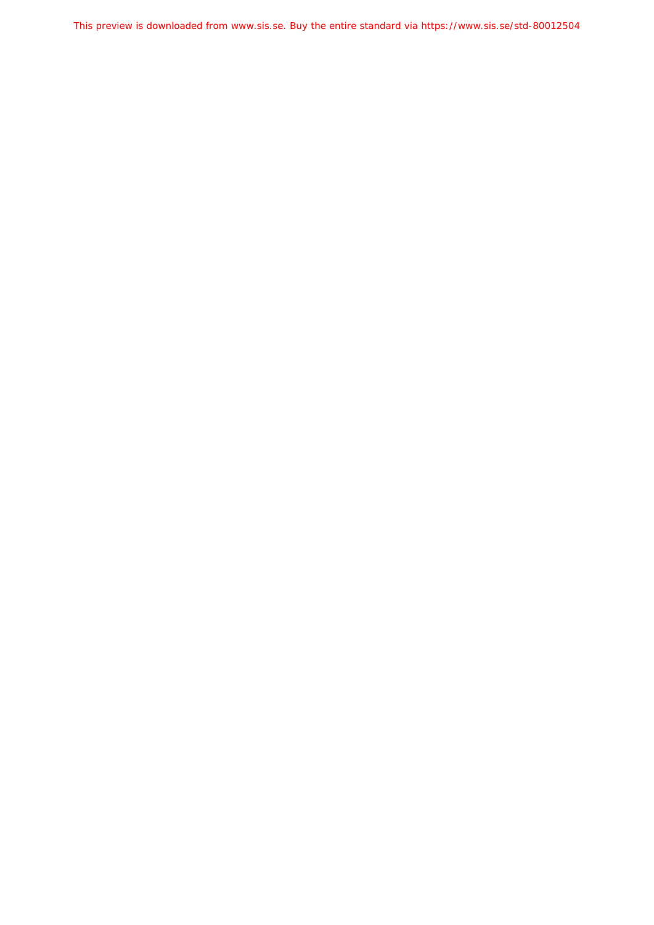This preview is downloaded from www.sis.se. Buy the entire standard via https://www.sis.se/std-80012504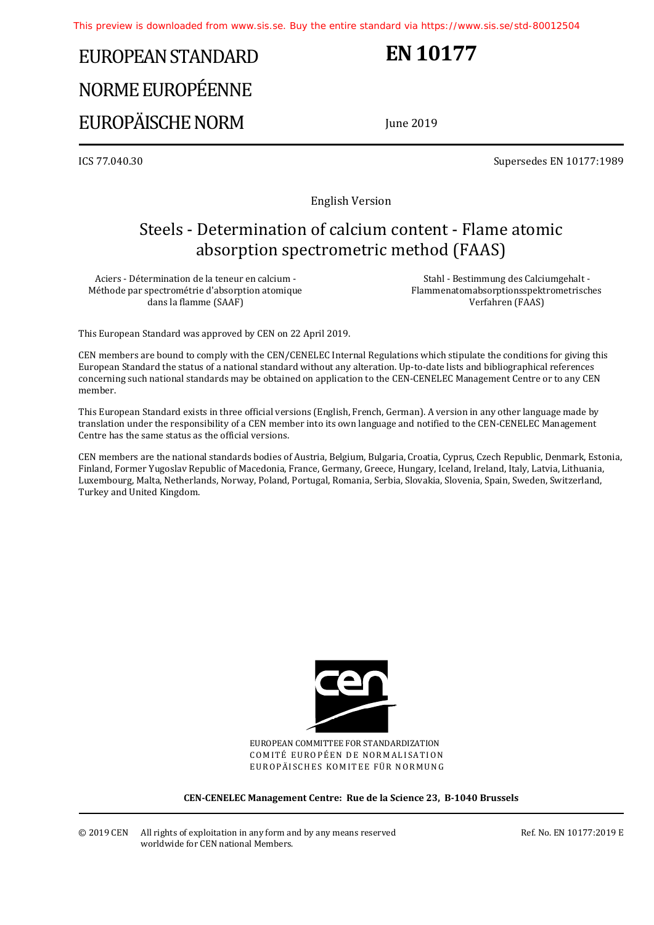## EUROPEAN STANDARD NORME EUROPÉENNE EUROPÄISCHE NORM

## **EN 10177**

June 2019

ICS 77.040.30 Supersedes EN 10177:1989

English Version

## Steels - Determination of calcium content - Flame atomic absorption spectrometric method (FAAS)

Aciers - Détermination de la teneur en calcium - Méthode par spectrométrie d'absorption atomique dans la flamme (SAAF)

Stahl - Bestimmung des Calciumgehalt - Flammenatomabsorptionsspektrometrisches Verfahren (FAAS)

This European Standard was approved by CEN on 22 April 2019.

CEN members are bound to comply with the CEN/CENELEC Internal Regulations which stipulate the conditions for giving this European Standard the status of a national standard without any alteration. Up-to-date lists and bibliographical references concerning such national standards may be obtained on application to the CEN-CENELEC Management Centre or to any CEN member.

This European Standard exists in three official versions (English, French, German). A version in any other language made by translation under the responsibility of a CEN member into its own language and notified to the CEN-CENELEC Management Centre has the same status as the official versions.

CEN members are the national standards bodies of Austria, Belgium, Bulgaria, Croatia, Cyprus, Czech Republic, Denmark, Estonia, Finland, Former Yugoslav Republic of Macedonia, France, Germany, Greece, Hungary, Iceland, Ireland, Italy, Latvia, Lithuania, Luxembourg, Malta, Netherlands, Norway, Poland, Portugal, Romania, Serbia, Slovakia, Slovenia, Spain, Sweden, Switzerland, Turkey and United Kingdom.



EUROPEAN COMMITTEE FOR STANDARDIZATION COMITÉ EUROPÉEN DE NORMALISATION EUROPÄISCHES KOMITEE FÜR NORMUNG

**CEN-CENELEC Management Centre: Rue de la Science 23, B-1040 Brussels**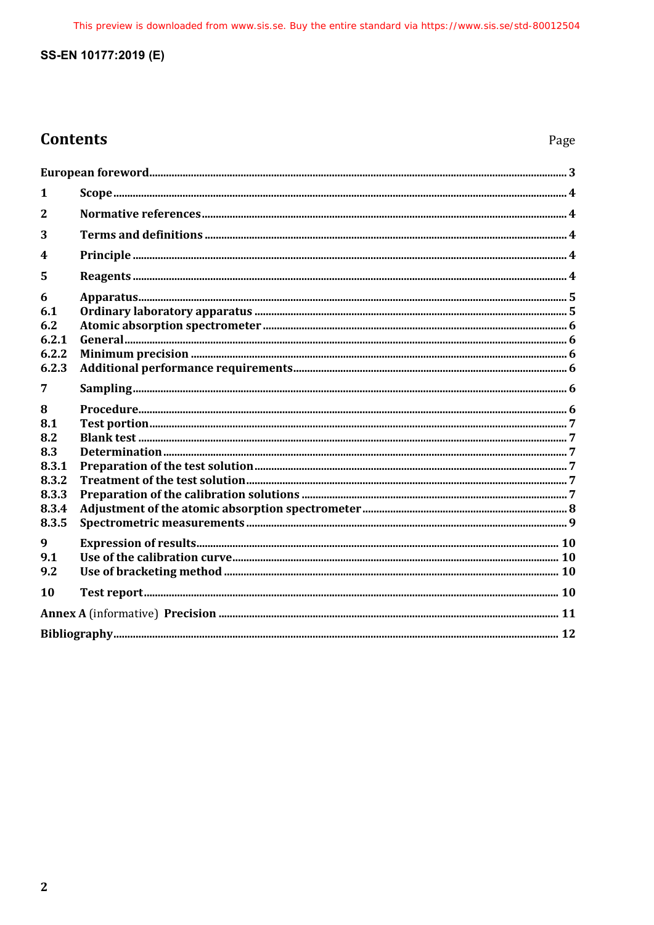### SS-EN 10177:2019 (E)

## **Contents**

| 1                                                          |  |  |
|------------------------------------------------------------|--|--|
| $\overline{2}$                                             |  |  |
| 3                                                          |  |  |
| $\boldsymbol{4}$                                           |  |  |
| 5                                                          |  |  |
| 6<br>6.1<br>6.2                                            |  |  |
| 6.2.1                                                      |  |  |
| 6.2.2<br>6.2.3                                             |  |  |
| 7                                                          |  |  |
| 8<br>8.1<br>8.2<br>8.3<br>8.3.1<br>8.3.2<br>8.3.3<br>8.3.4 |  |  |
| 8.3.5                                                      |  |  |
| 9<br>9.1<br>9.2                                            |  |  |
| <b>10</b>                                                  |  |  |
|                                                            |  |  |
|                                                            |  |  |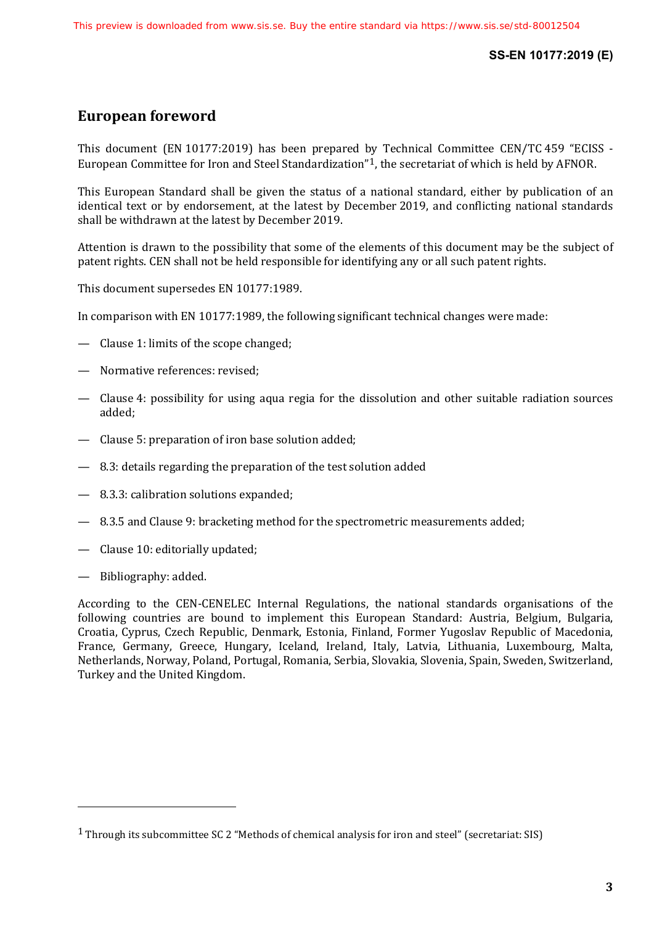#### **SS-EN 10177:2019 (E)**

## <span id="page-6-0"></span>**European foreword**

This document (EN 10177:2019) has been prepared by Technical Committee CEN/TC 459 "ECISS - European Committee for Iron and Steel Standardization"[1,](#page-6-1) the secretariat of which is held by AFNOR.

This European Standard shall be given the status of a national standard, either by publication of an identical text or by endorsement, at the latest by December 2019, and conflicting national standards shall be withdrawn at the latest by December 2019.

Attention is drawn to the possibility that some of the elements of this document may be the subject of patent rights. CEN shall not be held responsible for identifying any or all such patent rights.

This document supersedes EN 10177:1989.

In comparison with EN 10177:1989, the following significant technical changes were made:

- Clause 1: limits of the scope changed;
- Normative references: revised;
- Clause 4: possibility for using aqua regia for the dissolution and other suitable radiation sources added;
- Clause 5: preparation of iron base solution added;
- 8.3: details regarding the preparation of the test solution added
- 8.3.3: calibration solutions expanded;
- 8.3.5 and Clause 9: bracketing method for the spectrometric measurements added;
- Clause 10: editorially updated;
- Bibliography: added.

I

According to the CEN-CENELEC Internal Regulations, the national standards organisations of the following countries are bound to implement this European Standard: Austria, Belgium, Bulgaria, Croatia, Cyprus, Czech Republic, Denmark, Estonia, Finland, Former Yugoslav Republic of Macedonia, France, Germany, Greece, Hungary, Iceland, Ireland, Italy, Latvia, Lithuania, Luxembourg, Malta, Netherlands, Norway, Poland, Portugal, Romania, Serbia, Slovakia, Slovenia, Spain, Sweden, Switzerland, Turkey and the United Kingdom.

<span id="page-6-1"></span><sup>1</sup> Through its subcommittee SC 2 "Methods of chemical analysis for iron and steel" (secretariat: SIS)